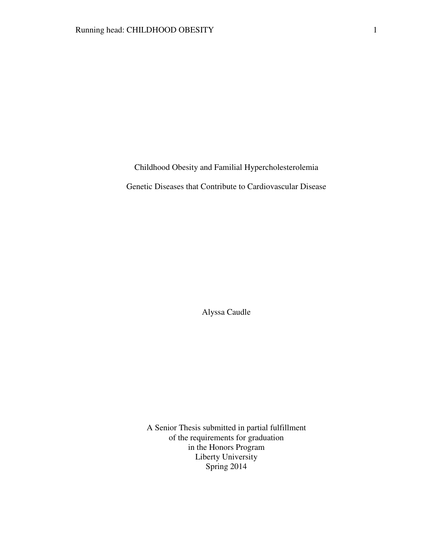#### Childhood Obesity and Familial Hypercholesterolemia

Genetic Diseases that Contribute to Cardiovascular Disease

Alyssa Caudle

A Senior Thesis submitted in partial fulfillment of the requirements for graduation in the Honors Program Liberty University Spring 2014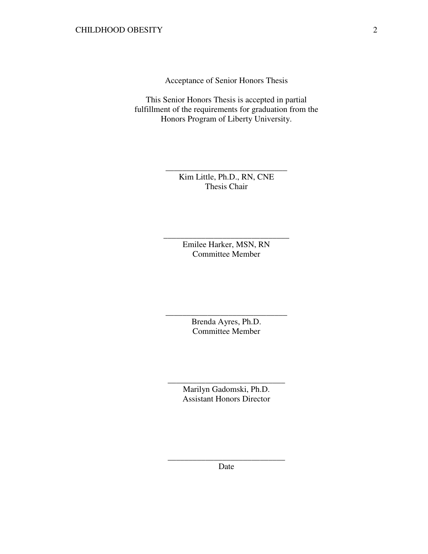Acceptance of Senior Honors Thesis

This Senior Honors Thesis is accepted in partial fulfillment of the requirements for graduation from the Honors Program of Liberty University.

> Kim Little, Ph.D., RN, CNE Thesis Chair

\_\_\_\_\_\_\_\_\_\_\_\_\_\_\_\_\_\_\_\_\_\_\_\_\_\_\_\_\_

Emilee Harker, MSN, RN Committee Member

\_\_\_\_\_\_\_\_\_\_\_\_\_\_\_\_\_\_\_\_\_\_\_\_\_\_\_\_\_\_

Brenda Ayres, Ph.D. Committee Member

\_\_\_\_\_\_\_\_\_\_\_\_\_\_\_\_\_\_\_\_\_\_\_\_\_\_\_\_\_

Marilyn Gadomski, Ph.D. Assistant Honors Director

\_\_\_\_\_\_\_\_\_\_\_\_\_\_\_\_\_\_\_\_\_\_\_\_\_\_\_\_

\_\_\_\_\_\_\_\_\_\_\_\_\_\_\_\_\_\_\_\_\_\_\_\_\_\_\_\_ Date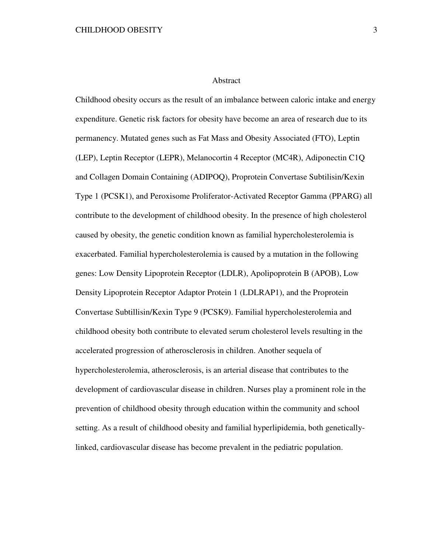#### Abstract

Childhood obesity occurs as the result of an imbalance between caloric intake and energy expenditure. Genetic risk factors for obesity have become an area of research due to its permanency. Mutated genes such as Fat Mass and Obesity Associated (FTO), Leptin (LEP), Leptin Receptor (LEPR), Melanocortin 4 Receptor (MC4R), Adiponectin C1Q and Collagen Domain Containing (ADIPOQ), Proprotein Convertase Subtilisin/Kexin Type 1 (PCSK1), and Peroxisome Proliferator-Activated Receptor Gamma (PPARG) all contribute to the development of childhood obesity. In the presence of high cholesterol caused by obesity, the genetic condition known as familial hypercholesterolemia is exacerbated. Familial hypercholesterolemia is caused by a mutation in the following genes: Low Density Lipoprotein Receptor (LDLR), Apolipoprotein B (APOB), Low Density Lipoprotein Receptor Adaptor Protein 1 (LDLRAP1), and the Proprotein Convertase Subtillisin/Kexin Type 9 (PCSK9). Familial hypercholesterolemia and childhood obesity both contribute to elevated serum cholesterol levels resulting in the accelerated progression of atherosclerosis in children. Another sequela of hypercholesterolemia, atherosclerosis, is an arterial disease that contributes to the development of cardiovascular disease in children. Nurses play a prominent role in the prevention of childhood obesity through education within the community and school setting. As a result of childhood obesity and familial hyperlipidemia, both geneticallylinked, cardiovascular disease has become prevalent in the pediatric population.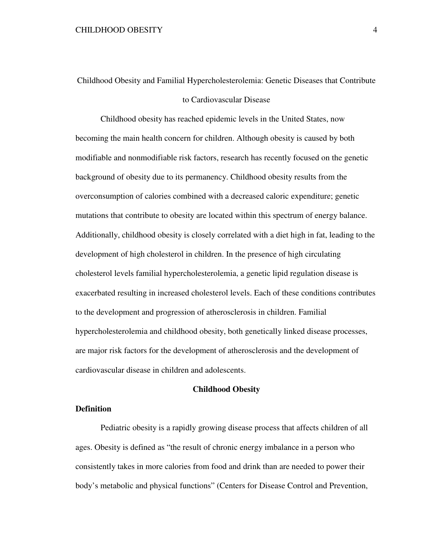#### Childhood Obesity and Familial Hypercholesterolemia: Genetic Diseases that Contribute

#### to Cardiovascular Disease

Childhood obesity has reached epidemic levels in the United States, now becoming the main health concern for children. Although obesity is caused by both modifiable and nonmodifiable risk factors, research has recently focused on the genetic background of obesity due to its permanency. Childhood obesity results from the overconsumption of calories combined with a decreased caloric expenditure; genetic mutations that contribute to obesity are located within this spectrum of energy balance. Additionally, childhood obesity is closely correlated with a diet high in fat, leading to the development of high cholesterol in children. In the presence of high circulating cholesterol levels familial hypercholesterolemia, a genetic lipid regulation disease is exacerbated resulting in increased cholesterol levels. Each of these conditions contributes to the development and progression of atherosclerosis in children. Familial hypercholesterolemia and childhood obesity, both genetically linked disease processes, are major risk factors for the development of atherosclerosis and the development of cardiovascular disease in children and adolescents.

#### **Childhood Obesity**

#### **Definition**

Pediatric obesity is a rapidly growing disease process that affects children of all ages. Obesity is defined as "the result of chronic energy imbalance in a person who consistently takes in more calories from food and drink than are needed to power their body's metabolic and physical functions" (Centers for Disease Control and Prevention,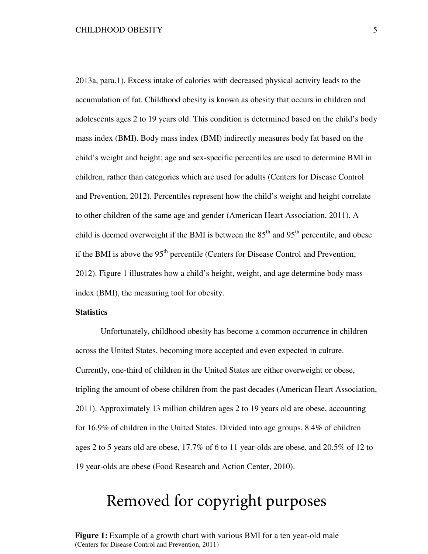2013a, para.1). Excess intake of calories with decreased physical activity leads to the accumulation of fat. Childhood obesity is known as obesity that occurs in children and adolescents ages 2 to 19 years old. This condition is determined based on the child's body mass index (BMI). Body mass index (BMI) indirectly measures body fat based on the child's weight and height; age and sex-specific percentiles are used to determine BMI in children, rather than categories which are used for adults (Centers for Disease Control and Prevention, 2012). Percentiles represent how the child's weight and height correlate to other children of the same age and gender (American Heart Association, 2011). A child is deemed overweight if the BMI is between the  $85<sup>th</sup>$  and  $95<sup>th</sup>$  percentile, and obese if the BMI is above the  $95<sup>th</sup>$  percentile (Centers for Disease Control and Prevention, 2012). Figure 1 illustrates how a child's height, weight, and age determine body mass index (BMI), the measuring tool for obesity.

#### **Statistics**

Unfortunately, childhood obesity has become a common occurrence in children across the United States, becoming more accepted and even expected in culture. Currently, one-third of children in the United States are either overweight or obese, tripling the amount of obese children from the past decades (American Heart Association, 2011). Approximately 13 million children ages 2 to 19 years old are obese, accounting for 16.9% of children in the United States. Divided into age groups, 8.4% of children ages 2 to 5 years old are obese, 17.7% of 6 to 11 year-olds are obese, and 20.5% of 12 to 19 year-olds are obese (Food Research and Action Center, 2010).

### Removed for copyright purposes

**Figure 1:** Example of a growth chart with various BMI for a ten year-old male (Centers for Disease Control and Prevention, 2011)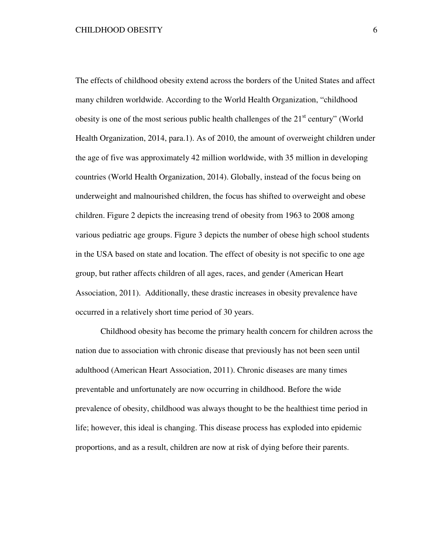The effects of childhood obesity extend across the borders of the United States and affect many children worldwide. According to the World Health Organization, "childhood obesity is one of the most serious public health challenges of the  $21<sup>st</sup>$  century" (World Health Organization, 2014, para.1). As of 2010, the amount of overweight children under the age of five was approximately 42 million worldwide, with 35 million in developing countries (World Health Organization, 2014). Globally, instead of the focus being on underweight and malnourished children, the focus has shifted to overweight and obese children. Figure 2 depicts the increasing trend of obesity from 1963 to 2008 among various pediatric age groups. Figure 3 depicts the number of obese high school students in the USA based on state and location. The effect of obesity is not specific to one age group, but rather affects children of all ages, races, and gender (American Heart Association, 2011). Additionally, these drastic increases in obesity prevalence have occurred in a relatively short time period of 30 years.

Childhood obesity has become the primary health concern for children across the nation due to association with chronic disease that previously has not been seen until adulthood (American Heart Association, 2011). Chronic diseases are many times preventable and unfortunately are now occurring in childhood. Before the wide prevalence of obesity, childhood was always thought to be the healthiest time period in life; however, this ideal is changing. This disease process has exploded into epidemic proportions, and as a result, children are now at risk of dying before their parents.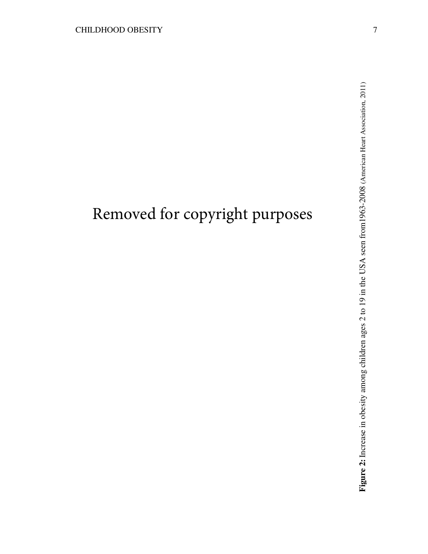# Removed for copyright purposes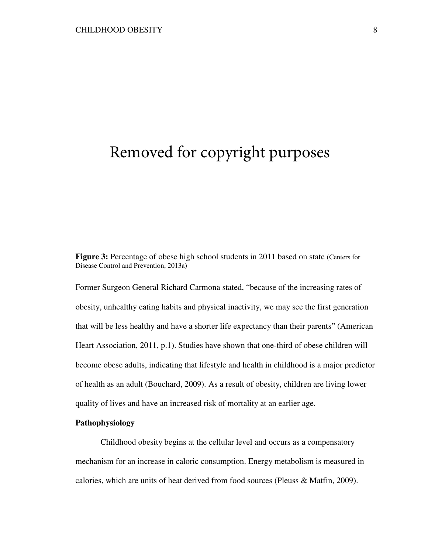### Removed for copyright purposes

**Figure 3:** Percentage of obese high school students in 2011 based on state (Centers for Disease Control and Prevention, 2013a)

Former Surgeon General Richard Carmona stated, "because of the increasing rates of obesity, unhealthy eating habits and physical inactivity, we may see the first generation that will be less healthy and have a shorter life expectancy than their parents" (American Heart Association, 2011, p.1). Studies have shown that one-third of obese children will become obese adults, indicating that lifestyle and health in childhood is a major predictor of health as an adult (Bouchard, 2009). As a result of obesity, children are living lower quality of lives and have an increased risk of mortality at an earlier age.

#### **Pathophysiology**

Childhood obesity begins at the cellular level and occurs as a compensatory mechanism for an increase in caloric consumption. Energy metabolism is measured in calories, which are units of heat derived from food sources (Pleuss & Matfin, 2009).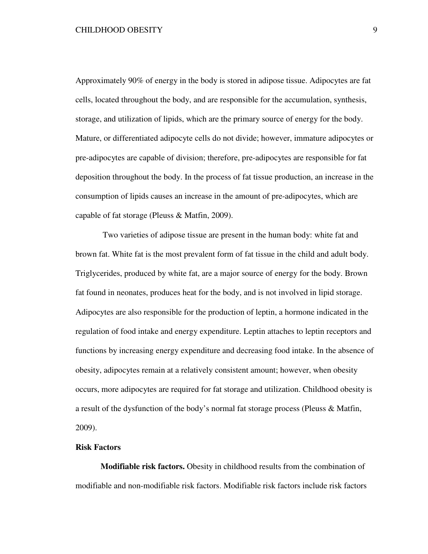#### CHILDHOOD OBESITY 9

Approximately 90% of energy in the body is stored in adipose tissue. Adipocytes are fat cells, located throughout the body, and are responsible for the accumulation, synthesis, storage, and utilization of lipids, which are the primary source of energy for the body. Mature, or differentiated adipocyte cells do not divide; however, immature adipocytes or pre-adipocytes are capable of division; therefore, pre-adipocytes are responsible for fat deposition throughout the body. In the process of fat tissue production, an increase in the consumption of lipids causes an increase in the amount of pre-adipocytes, which are capable of fat storage (Pleuss & Matfin, 2009).

 Two varieties of adipose tissue are present in the human body: white fat and brown fat. White fat is the most prevalent form of fat tissue in the child and adult body. Triglycerides, produced by white fat, are a major source of energy for the body. Brown fat found in neonates, produces heat for the body, and is not involved in lipid storage. Adipocytes are also responsible for the production of leptin, a hormone indicated in the regulation of food intake and energy expenditure. Leptin attaches to leptin receptors and functions by increasing energy expenditure and decreasing food intake. In the absence of obesity, adipocytes remain at a relatively consistent amount; however, when obesity occurs, more adipocytes are required for fat storage and utilization. Childhood obesity is a result of the dysfunction of the body's normal fat storage process (Pleuss & Matfin, 2009).

#### **Risk Factors**

**Modifiable risk factors.** Obesity in childhood results from the combination of modifiable and non-modifiable risk factors. Modifiable risk factors include risk factors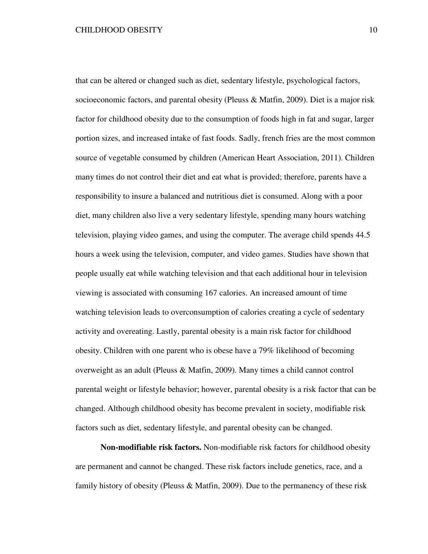that can be altered or changed such as diet, sedentary lifestyle, psychological factors, socioeconomic factors, and parental obesity (Pleuss & Matfin, 2009). Diet is a major risk factor for childhood obesity due to the consumption of foods high in fat and sugar, larger portion sizes, and increased intake of fast foods. Sadly, french fries are the most common source of vegetable consumed by children (American Heart Association, 2011). Children many times do not control their diet and eat what is provided; therefore, parents have a responsibility to insure a balanced and nutritious diet is consumed. Along with a poor diet, many children also live a very sedentary lifestyle, spending many hours watching television, playing video games, and using the computer. The average child spends 44.5 hours a week using the television, computer, and video games. Studies have shown that people usually eat while watching television and that each additional hour in television viewing is associated with consuming 167 calories. An increased amount of time watching television leads to overconsumption of calories creating a cycle of sedentary activity and overeating. Lastly, parental obesity is a main risk factor for childhood obesity. Children with one parent who is obese have a 79% likelihood of becoming overweight as an adult (Pleuss & Matfin, 2009). Many times a child cannot control parental weight or lifestyle behavior; however, parental obesity is a risk factor that can be changed. Although childhood obesity has become prevalent in society, modifiable risk factors such as diet, sedentary lifestyle, and parental obesity can be changed.

**Non-modifiable risk factors.** Non-modifiable risk factors for childhood obesity are permanent and cannot be changed. These risk factors include genetics, race, and a family history of obesity (Pleuss & Matfin, 2009). Due to the permanency of these risk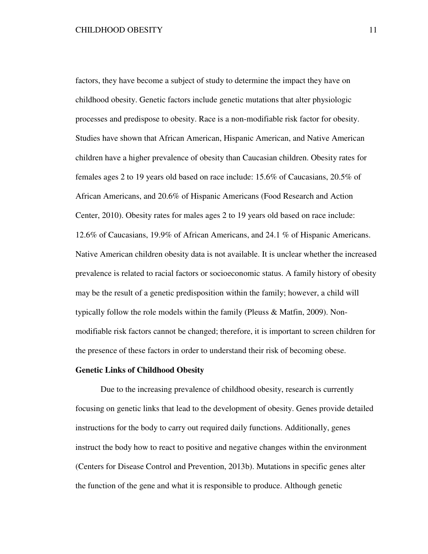factors, they have become a subject of study to determine the impact they have on childhood obesity. Genetic factors include genetic mutations that alter physiologic processes and predispose to obesity. Race is a non-modifiable risk factor for obesity. Studies have shown that African American, Hispanic American, and Native American children have a higher prevalence of obesity than Caucasian children. Obesity rates for females ages 2 to 19 years old based on race include: 15.6% of Caucasians, 20.5% of African Americans, and 20.6% of Hispanic Americans (Food Research and Action Center, 2010). Obesity rates for males ages 2 to 19 years old based on race include: 12.6% of Caucasians, 19.9% of African Americans, and 24.1 % of Hispanic Americans. Native American children obesity data is not available. It is unclear whether the increased prevalence is related to racial factors or socioeconomic status. A family history of obesity may be the result of a genetic predisposition within the family; however, a child will typically follow the role models within the family (Pleuss & Matfin, 2009). Nonmodifiable risk factors cannot be changed; therefore, it is important to screen children for the presence of these factors in order to understand their risk of becoming obese.

#### **Genetic Links of Childhood Obesity**

Due to the increasing prevalence of childhood obesity, research is currently focusing on genetic links that lead to the development of obesity. Genes provide detailed instructions for the body to carry out required daily functions. Additionally, genes instruct the body how to react to positive and negative changes within the environment (Centers for Disease Control and Prevention, 2013b). Mutations in specific genes alter the function of the gene and what it is responsible to produce. Although genetic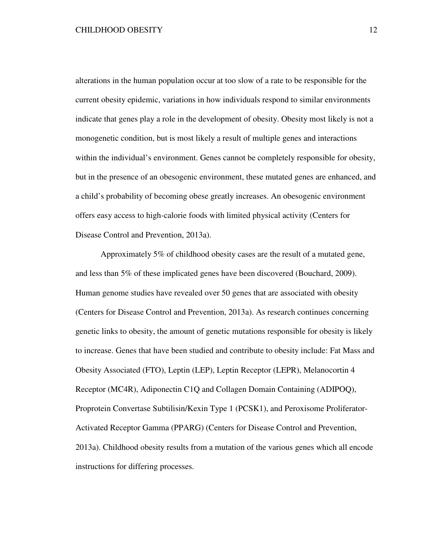alterations in the human population occur at too slow of a rate to be responsible for the current obesity epidemic, variations in how individuals respond to similar environments indicate that genes play a role in the development of obesity. Obesity most likely is not a monogenetic condition, but is most likely a result of multiple genes and interactions within the individual's environment. Genes cannot be completely responsible for obesity, but in the presence of an obesogenic environment, these mutated genes are enhanced, and a child's probability of becoming obese greatly increases. An obesogenic environment offers easy access to high-calorie foods with limited physical activity (Centers for Disease Control and Prevention, 2013a).

Approximately 5% of childhood obesity cases are the result of a mutated gene, and less than 5% of these implicated genes have been discovered (Bouchard, 2009). Human genome studies have revealed over 50 genes that are associated with obesity (Centers for Disease Control and Prevention, 2013a). As research continues concerning genetic links to obesity, the amount of genetic mutations responsible for obesity is likely to increase. Genes that have been studied and contribute to obesity include: Fat Mass and Obesity Associated (FTO), Leptin (LEP), Leptin Receptor (LEPR), Melanocortin 4 Receptor (MC4R), Adiponectin C1Q and Collagen Domain Containing (ADIPOQ), Proprotein Convertase Subtilisin/Kexin Type 1 (PCSK1), and Peroxisome Proliferator-Activated Receptor Gamma (PPARG) (Centers for Disease Control and Prevention, 2013a). Childhood obesity results from a mutation of the various genes which all encode instructions for differing processes.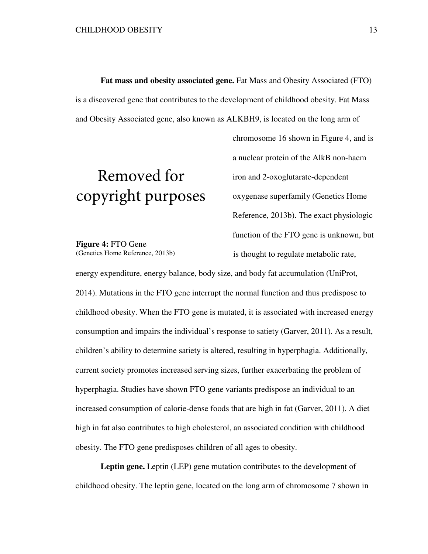**Fat mass and obesity associated gene.** Fat Mass and Obesity Associated (FTO) is a discovered gene that contributes to the development of childhood obesity. Fat Mass and Obesity Associated gene, also known as ALKBH9, is located on the long arm of

### Removed for copyright purposes

**Figure 4:** FTO Gene (Genetics Home Reference, 2013b) chromosome 16 shown in Figure 4, and is a nuclear protein of the AlkB non-haem iron and 2-oxoglutarate-dependent oxygenase superfamily (Genetics Home Reference, 2013b). The exact physiologic function of the FTO gene is unknown, but is thought to regulate metabolic rate,

energy expenditure, energy balance, body size, and body fat accumulation (UniProt, 2014). Mutations in the FTO gene interrupt the normal function and thus predispose to childhood obesity. When the FTO gene is mutated, it is associated with increased energy consumption and impairs the individual's response to satiety (Garver, 2011). As a result, children's ability to determine satiety is altered, resulting in hyperphagia. Additionally, current society promotes increased serving sizes, further exacerbating the problem of hyperphagia. Studies have shown FTO gene variants predispose an individual to an increased consumption of calorie-dense foods that are high in fat (Garver, 2011). A diet high in fat also contributes to high cholesterol, an associated condition with childhood obesity. The FTO gene predisposes children of all ages to obesity.

**Leptin gene.** Leptin (LEP) gene mutation contributes to the development of childhood obesity. The leptin gene, located on the long arm of chromosome 7 shown in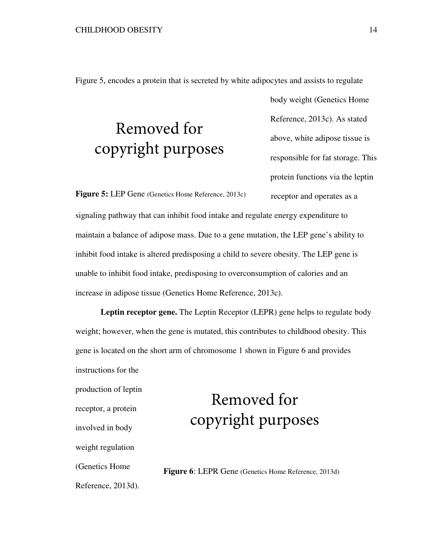Figure 5, encodes a protein that is secreted by white adipocytes and assists to regulate

## Removed for copyright purposes

body weight (Genetics Home Reference, 2013c). As stated above, white adipose tissue is responsible for fat storage. This protein functions via the leptin

receptor and operates as a signaling pathway that can inhibit food intake and regulate energy expenditure to maintain a balance of adipose mass. Due to a gene mutation, the LEP gene's ability to inhibit food intake is altered predisposing a child to severe obesity. The LEP gene is unable to inhibit food intake, predisposing to overconsumption of calories and an increase in adipose tissue (Genetics Home Reference, 2013c). **Figure 5:** LEP Gene (Genetics Home Reference, 2013c)

**Leptin receptor gene.** The Leptin Receptor (LEPR) gene helps to regulate body weight; however, when the gene is mutated, this contributes to childhood obesity. This gene is located on the short arm of chromosome 1 shown in Figure 6 and provides instructions for the

production of leptin receptor, a protein involved in body weight regulation (Genetics Home Reference, 2013d).

## Removed for copyright purposes

**Figure 6:** LEPR Gene (Genetics Home Reference, 2013d)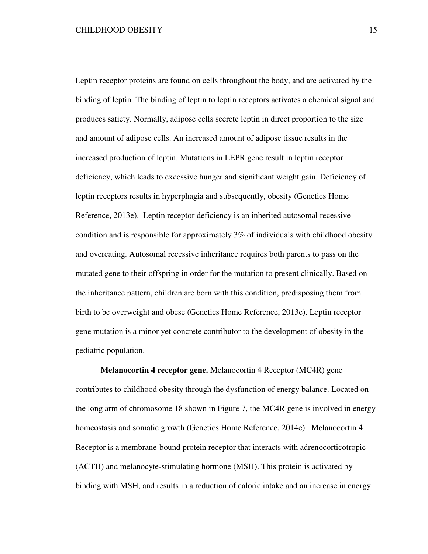Leptin receptor proteins are found on cells throughout the body, and are activated by the binding of leptin. The binding of leptin to leptin receptors activates a chemical signal and produces satiety. Normally, adipose cells secrete leptin in direct proportion to the size and amount of adipose cells. An increased amount of adipose tissue results in the increased production of leptin. Mutations in LEPR gene result in leptin receptor deficiency, which leads to excessive hunger and significant weight gain. Deficiency of leptin receptors results in hyperphagia and subsequently, obesity (Genetics Home Reference, 2013e). Leptin receptor deficiency is an inherited autosomal recessive condition and is responsible for approximately 3% of individuals with childhood obesity and overeating. Autosomal recessive inheritance requires both parents to pass on the mutated gene to their offspring in order for the mutation to present clinically. Based on the inheritance pattern, children are born with this condition, predisposing them from birth to be overweight and obese (Genetics Home Reference, 2013e). Leptin receptor gene mutation is a minor yet concrete contributor to the development of obesity in the pediatric population.

**Melanocortin 4 receptor gene.** Melanocortin 4 Receptor (MC4R) gene contributes to childhood obesity through the dysfunction of energy balance. Located on the long arm of chromosome 18 shown in Figure 7, the MC4R gene is involved in energy homeostasis and somatic growth (Genetics Home Reference, 2014e). Melanocortin 4 Receptor is a membrane-bound protein receptor that interacts with adrenocorticotropic (ACTH) and melanocyte-stimulating hormone (MSH). This protein is activated by binding with MSH, and results in a reduction of caloric intake and an increase in energy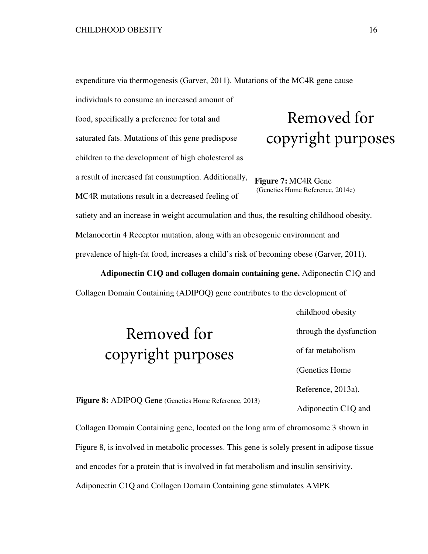expenditure via thermogenesis (Garver, 2011). Mutations of the MC4R gene cause

individuals to consume an increased amount of

food, specifically a preference for total and

saturated fats. Mutations of this gene predispose

children to the development of high cholesterol as

a result of increased fat consumption. Additionally,

MC4R mutations result in a decreased feeling of

## Removed for copyright purposes

**Figure 7:** MC4R Gene (Genetics Home Reference, 2014e)

satiety and an increase in weight accumulation and thus, the resulting childhood obesity. Melanocortin 4 Receptor mutation, along with an obesogenic environment and prevalence of high-fat food, increases a child's risk of becoming obese (Garver, 2011).

**Adiponectin C1Q and collagen domain containing gene.** Adiponectin C1Q and

Collagen Domain Containing (ADIPOQ) gene contributes to the development of

## Removed for copyright purposes

through the dysfunction of fat metabolism (Genetics Home

childhood obesity

Reference, 2013a).

Adiponectin C1Q and

Figure 8: ADIPOQ Gene (Genetics Home Reference, 2013)

Collagen Domain Containing gene, located on the long arm of chromosome 3 shown in Figure 8, is involved in metabolic processes. This gene is solely present in adipose tissue and encodes for a protein that is involved in fat metabolism and insulin sensitivity. Adiponectin C1Q and Collagen Domain Containing gene stimulates AMPK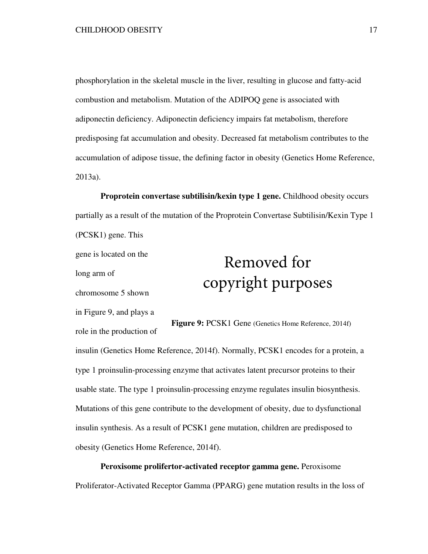phosphorylation in the skeletal muscle in the liver, resulting in glucose and fatty-acid combustion and metabolism. Mutation of the ADIPOQ gene is associated with adiponectin deficiency. Adiponectin deficiency impairs fat metabolism, therefore predisposing fat accumulation and obesity. Decreased fat metabolism contributes to the accumulation of adipose tissue, the defining factor in obesity (Genetics Home Reference, 2013a).

**Proprotein convertase subtilisin/kexin type 1 gene.** Childhood obesity occurs partially as a result of the mutation of the Proprotein Convertase Subtilisin/Kexin Type 1 (PCSK1) gene. This

gene is located on the

long arm of

chromosome 5 shown

in Figure 9, and plays a

# Removed for copyright purposes

role in the production of insulin (Genetics Home Reference, 2014f). Normally, PCSK1 encodes for a protein, a type 1 proinsulin-processing enzyme that activates latent precursor proteins to their usable state. The type 1 proinsulin-processing enzyme regulates insulin biosynthesis. Mutations of this gene contribute to the development of obesity, due to dysfunctional insulin synthesis. As a result of PCSK1 gene mutation, children are predisposed to obesity (Genetics Home Reference, 2014f). Figure 9: PCSK1 Gene (Genetics Home Reference, 2014f)

### **Peroxisome prolifertor-activated receptor gamma gene.** Peroxisome Proliferator-Activated Receptor Gamma (PPARG) gene mutation results in the loss of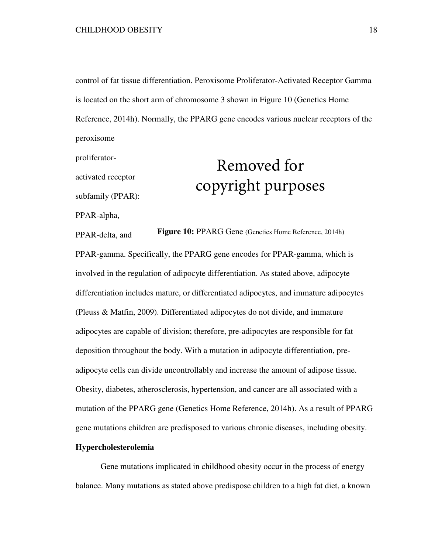control of fat tissue differentiation. Peroxisome Proliferator-Activated Receptor Gamma is located on the short arm of chromosome 3 shown in Figure 10 (Genetics Home Reference, 2014h). Normally, the PPARG gene encodes various nuclear receptors of the peroxisome

proliferator-

activated receptor

subfamily (PPAR):

PPAR-alpha,

# Removed for copyright purposes

PPAR-delta, and PPAR-gamma. Specifically, the PPARG gene encodes for PPAR-gamma, which is involved in the regulation of adipocyte differentiation. As stated above, adipocyte differentiation includes mature, or differentiated adipocytes, and immature adipocytes (Pleuss & Matfin, 2009). Differentiated adipocytes do not divide, and immature adipocytes are capable of division; therefore, pre-adipocytes are responsible for fat deposition throughout the body. With a mutation in adipocyte differentiation, preadipocyte cells can divide uncontrollably and increase the amount of adipose tissue. Obesity, diabetes, atherosclerosis, hypertension, and cancer are all associated with a mutation of the PPARG gene (Genetics Home Reference, 2014h). As a result of PPARG gene mutations children are predisposed to various chronic diseases, including obesity. **Figure 10: PPARG Gene (Genetics Home Reference, 2014h)** 

#### **Hypercholesterolemia**

Gene mutations implicated in childhood obesity occur in the process of energy balance. Many mutations as stated above predispose children to a high fat diet, a known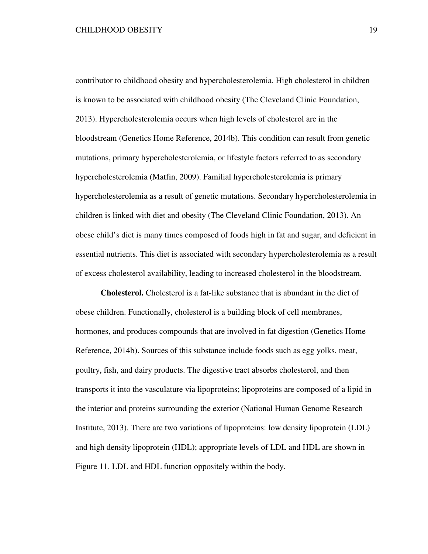#### CHILDHOOD OBESITY 19

contributor to childhood obesity and hypercholesterolemia. High cholesterol in children is known to be associated with childhood obesity (The Cleveland Clinic Foundation, 2013). Hypercholesterolemia occurs when high levels of cholesterol are in the bloodstream (Genetics Home Reference, 2014b). This condition can result from genetic mutations, primary hypercholesterolemia, or lifestyle factors referred to as secondary hypercholesterolemia (Matfin, 2009). Familial hypercholesterolemia is primary hypercholesterolemia as a result of genetic mutations. Secondary hypercholesterolemia in children is linked with diet and obesity (The Cleveland Clinic Foundation, 2013). An obese child's diet is many times composed of foods high in fat and sugar, and deficient in essential nutrients. This diet is associated with secondary hypercholesterolemia as a result of excess cholesterol availability, leading to increased cholesterol in the bloodstream.

**Cholesterol.** Cholesterol is a fat-like substance that is abundant in the diet of obese children. Functionally, cholesterol is a building block of cell membranes, hormones, and produces compounds that are involved in fat digestion (Genetics Home Reference, 2014b). Sources of this substance include foods such as egg yolks, meat, poultry, fish, and dairy products. The digestive tract absorbs cholesterol, and then transports it into the vasculature via lipoproteins; lipoproteins are composed of a lipid in the interior and proteins surrounding the exterior (National Human Genome Research Institute, 2013). There are two variations of lipoproteins: low density lipoprotein (LDL) and high density lipoprotein (HDL); appropriate levels of LDL and HDL are shown in Figure 11. LDL and HDL function oppositely within the body.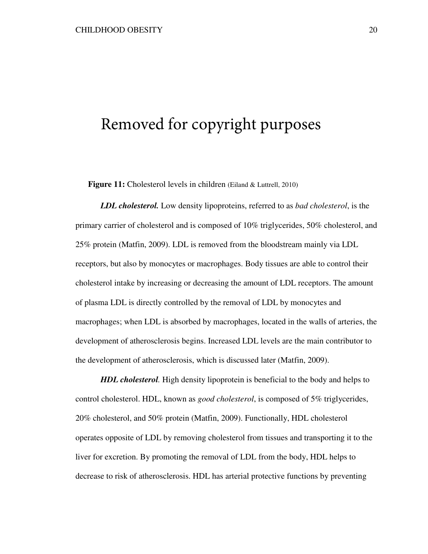### Removed for copyright purposes

**Figure 11:** Cholesterol levels in children (Eiland & Luttrell, 2010)

*LDL cholesterol.* Low density lipoproteins, referred to as *bad cholesterol*, is the primary carrier of cholesterol and is composed of 10% triglycerides, 50% cholesterol, and 25% protein (Matfin, 2009). LDL is removed from the bloodstream mainly via LDL receptors, but also by monocytes or macrophages. Body tissues are able to control their cholesterol intake by increasing or decreasing the amount of LDL receptors. The amount of plasma LDL is directly controlled by the removal of LDL by monocytes and macrophages; when LDL is absorbed by macrophages, located in the walls of arteries, the development of atherosclerosis begins. Increased LDL levels are the main contributor to the development of atherosclerosis, which is discussed later (Matfin, 2009).

*HDL cholesterol.* High density lipoprotein is beneficial to the body and helps to control cholesterol. HDL, known as *good cholesterol*, is composed of 5% triglycerides, 20% cholesterol, and 50% protein (Matfin, 2009). Functionally, HDL cholesterol operates opposite of LDL by removing cholesterol from tissues and transporting it to the liver for excretion. By promoting the removal of LDL from the body, HDL helps to decrease to risk of atherosclerosis. HDL has arterial protective functions by preventing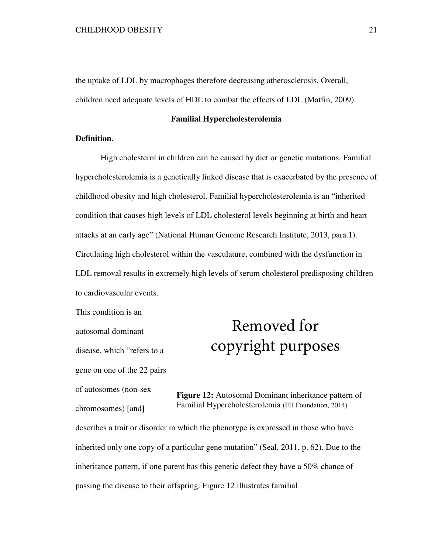the uptake of LDL by macrophages therefore decreasing atherosclerosis. Overall, children need adequate levels of HDL to combat the effects of LDL (Matfin, 2009).

#### **Familial Hypercholesterolemia**

#### **Definition.**

High cholesterol in children can be caused by diet or genetic mutations. Familial hypercholesterolemia is a genetically linked disease that is exacerbated by the presence of childhood obesity and high cholesterol. Familial hypercholesterolemia is an "inherited condition that causes high levels of LDL cholesterol levels beginning at birth and heart attacks at an early age" (National Human Genome Research Institute, 2013, para.1). Circulating high cholesterol within the vasculature, combined with the dysfunction in LDL removal results in extremely high levels of serum cholesterol predisposing children to cardiovascular events.

This condition is an autosomal dominant disease, which "refers to a gene on one of the 22 pairs

of autosomes (non-sex

chromosomes) [and]

Removed for copyright purposes

**Figure 12:** Autosomal Dominant inheritance pattern of Familial Hypercholesterolemia (FH Foundation, 2014)

describes a trait or disorder in which the phenotype is expressed in those who have inherited only one copy of a particular gene mutation" (Seal, 2011, p. 62). Due to the inheritance pattern, if one parent has this genetic defect they have a 50% chance of passing the disease to their offspring. Figure 12 illustrates familial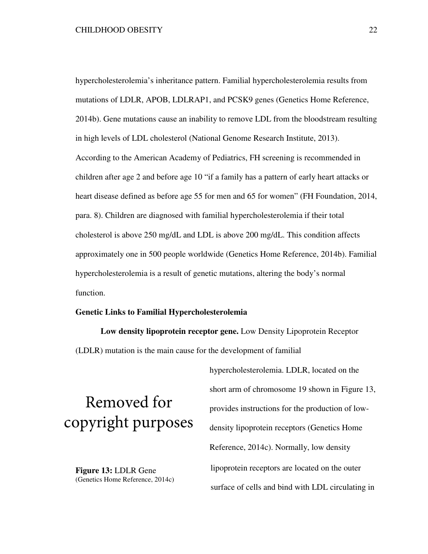hypercholesterolemia's inheritance pattern. Familial hypercholesterolemia results from mutations of LDLR, APOB, LDLRAP1, and PCSK9 genes (Genetics Home Reference, 2014b). Gene mutations cause an inability to remove LDL from the bloodstream resulting in high levels of LDL cholesterol (National Genome Research Institute, 2013). According to the American Academy of Pediatrics, FH screening is recommended in children after age 2 and before age 10 "if a family has a pattern of early heart attacks or heart disease defined as before age 55 for men and 65 for women" (FH Foundation, 2014, para. 8). Children are diagnosed with familial hypercholesterolemia if their total cholesterol is above 250 mg/dL and LDL is above 200 mg/dL. This condition affects approximately one in 500 people worldwide (Genetics Home Reference, 2014b). Familial hypercholesterolemia is a result of genetic mutations, altering the body's normal function.

#### **Genetic Links to Familial Hypercholesterolemia**

**Low density lipoprotein receptor gene.** Low Density Lipoprotein Receptor (LDLR) mutation is the main cause for the development of familial

## Removed for copyright purposes

**Figure 13:** LDLR Gene (Genetics Home Reference, 2014c) hypercholesterolemia. LDLR, located on the short arm of chromosome 19 shown in Figure 13, provides instructions for the production of lowdensity lipoprotein receptors (Genetics Home Reference, 2014c). Normally, low density lipoprotein receptors are located on the outer surface of cells and bind with LDL circulating in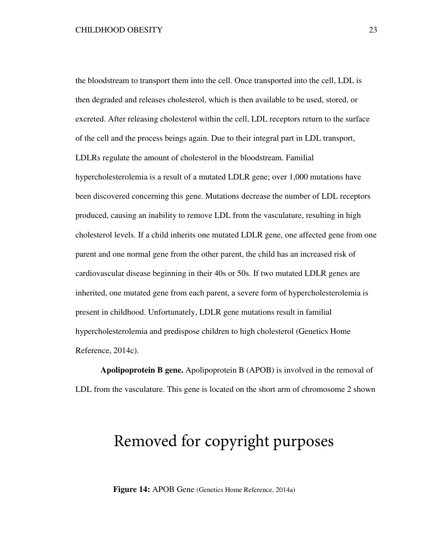the bloodstream to transport them into the cell. Once transported into the cell, LDL is then degraded and releases cholesterol, which is then available to be used, stored, or excreted. After releasing cholesterol within the cell, LDL receptors return to the surface of the cell and the process beings again. Due to their integral part in LDL transport, LDLRs regulate the amount of cholesterol in the bloodstream. Familial hypercholesterolemia is a result of a mutated LDLR gene; over 1,000 mutations have been discovered concerning this gene. Mutations decrease the number of LDL receptors produced, causing an inability to remove LDL from the vasculature, resulting in high cholesterol levels. If a child inherits one mutated LDLR gene, one affected gene from one parent and one normal gene from the other parent, the child has an increased risk of cardiovascular disease beginning in their 40s or 50s. If two mutated LDLR genes are inherited, one mutated gene from each parent, a severe form of hypercholesterolemia is present in childhood. Unfortunately, LDLR gene mutations result in familial hypercholesterolemia and predispose children to high cholesterol (Genetics Home Reference, 2014c).

**Apolipoprotein B gene.** Apolipoprotein B (APOB) is involved in the removal of LDL from the vasculature. This gene is located on the short arm of chromosome 2 shown

### Removed for copyright purposes

**Figure 14:** APOB Gene (Genetics Home Reference, 2014a)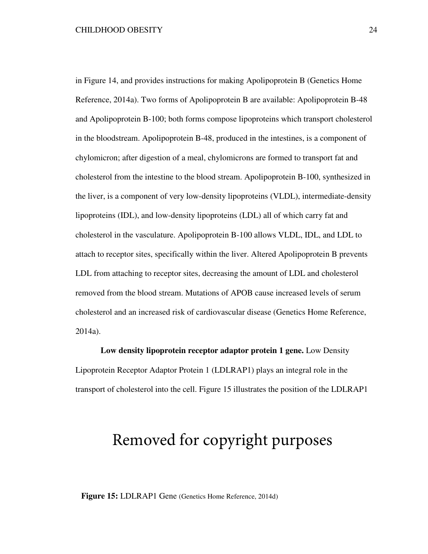in Figure 14, and provides instructions for making Apolipoprotein B (Genetics Home Reference, 2014a). Two forms of Apolipoprotein B are available: Apolipoprotein B-48 and Apolipoprotein B-100; both forms compose lipoproteins which transport cholesterol in the bloodstream. Apolipoprotein B-48, produced in the intestines, is a component of chylomicron; after digestion of a meal, chylomicrons are formed to transport fat and cholesterol from the intestine to the blood stream. Apolipoprotein B-100, synthesized in the liver, is a component of very low-density lipoproteins (VLDL), intermediate-density lipoproteins (IDL), and low-density lipoproteins (LDL) all of which carry fat and cholesterol in the vasculature. Apolipoprotein B-100 allows VLDL, IDL, and LDL to attach to receptor sites, specifically within the liver. Altered Apolipoprotein B prevents LDL from attaching to receptor sites, decreasing the amount of LDL and cholesterol removed from the blood stream. Mutations of APOB cause increased levels of serum cholesterol and an increased risk of cardiovascular disease (Genetics Home Reference, 2014a).

**Low density lipoprotein receptor adaptor protein 1 gene.** Low Density Lipoprotein Receptor Adaptor Protein 1 (LDLRAP1) plays an integral role in the transport of cholesterol into the cell. Figure 15 illustrates the position of the LDLRAP1

### Removed for copyright purposes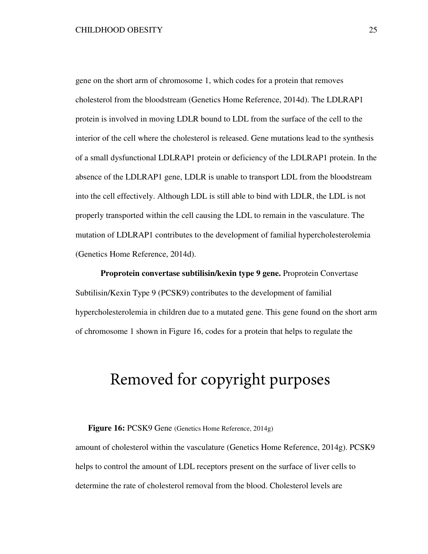gene on the short arm of chromosome 1, which codes for a protein that removes cholesterol from the bloodstream (Genetics Home Reference, 2014d). The LDLRAP1 protein is involved in moving LDLR bound to LDL from the surface of the cell to the interior of the cell where the cholesterol is released. Gene mutations lead to the synthesis of a small dysfunctional LDLRAP1 protein or deficiency of the LDLRAP1 protein. In the absence of the LDLRAP1 gene, LDLR is unable to transport LDL from the bloodstream into the cell effectively. Although LDL is still able to bind with LDLR, the LDL is not properly transported within the cell causing the LDL to remain in the vasculature. The mutation of LDLRAP1 contributes to the development of familial hypercholesterolemia (Genetics Home Reference, 2014d).

**Proprotein convertase subtilisin/kexin type 9 gene.** Proprotein Convertase Subtilisin/Kexin Type 9 (PCSK9) contributes to the development of familial hypercholesterolemia in children due to a mutated gene. This gene found on the short arm of chromosome 1 shown in Figure 16, codes for a protein that helps to regulate the

### Removed for copyright purposes

#### Figure 16: PCSK9 Gene (Genetics Home Reference, 2014g)

amount of cholesterol within the vasculature (Genetics Home Reference, 2014g). PCSK9 helps to control the amount of LDL receptors present on the surface of liver cells to determine the rate of cholesterol removal from the blood. Cholesterol levels are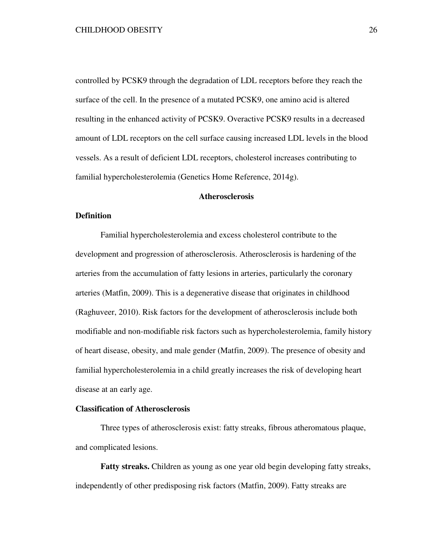controlled by PCSK9 through the degradation of LDL receptors before they reach the surface of the cell. In the presence of a mutated PCSK9, one amino acid is altered resulting in the enhanced activity of PCSK9. Overactive PCSK9 results in a decreased amount of LDL receptors on the cell surface causing increased LDL levels in the blood vessels. As a result of deficient LDL receptors, cholesterol increases contributing to familial hypercholesterolemia (Genetics Home Reference, 2014g).

#### **Atherosclerosis**

#### **Definition**

Familial hypercholesterolemia and excess cholesterol contribute to the development and progression of atherosclerosis. Atherosclerosis is hardening of the arteries from the accumulation of fatty lesions in arteries, particularly the coronary arteries (Matfin, 2009). This is a degenerative disease that originates in childhood (Raghuveer, 2010). Risk factors for the development of atherosclerosis include both modifiable and non-modifiable risk factors such as hypercholesterolemia, family history of heart disease, obesity, and male gender (Matfin, 2009). The presence of obesity and familial hypercholesterolemia in a child greatly increases the risk of developing heart disease at an early age.

#### **Classification of Atherosclerosis**

Three types of atherosclerosis exist: fatty streaks, fibrous atheromatous plaque, and complicated lesions.

**Fatty streaks.** Children as young as one year old begin developing fatty streaks, independently of other predisposing risk factors (Matfin, 2009). Fatty streaks are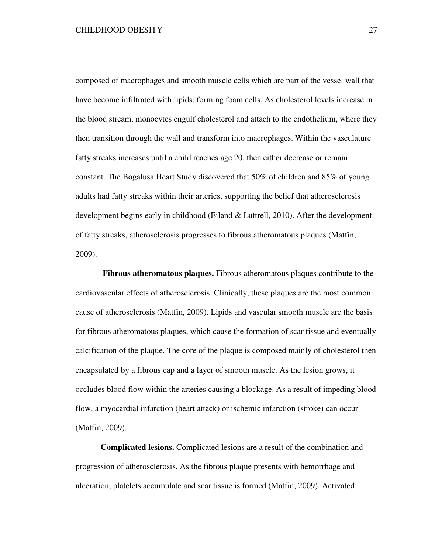composed of macrophages and smooth muscle cells which are part of the vessel wall that have become infiltrated with lipids, forming foam cells. As cholesterol levels increase in the blood stream, monocytes engulf cholesterol and attach to the endothelium, where they then transition through the wall and transform into macrophages. Within the vasculature fatty streaks increases until a child reaches age 20, then either decrease or remain constant. The Bogalusa Heart Study discovered that 50% of children and 85% of young adults had fatty streaks within their arteries, supporting the belief that atherosclerosis development begins early in childhood (Eiland & Luttrell, 2010). After the development of fatty streaks, atherosclerosis progresses to fibrous atheromatous plaques (Matfin, 2009).

**Fibrous atheromatous plaques.** Fibrous atheromatous plaques contribute to the cardiovascular effects of atherosclerosis. Clinically, these plaques are the most common cause of atherosclerosis (Matfin, 2009). Lipids and vascular smooth muscle are the basis for fibrous atheromatous plaques, which cause the formation of scar tissue and eventually calcification of the plaque. The core of the plaque is composed mainly of cholesterol then encapsulated by a fibrous cap and a layer of smooth muscle. As the lesion grows, it occludes blood flow within the arteries causing a blockage. As a result of impeding blood flow, a myocardial infarction (heart attack) or ischemic infarction (stroke) can occur (Matfin, 2009).

**Complicated lesions.** Complicated lesions are a result of the combination and progression of atherosclerosis. As the fibrous plaque presents with hemorrhage and ulceration, platelets accumulate and scar tissue is formed (Matfin, 2009). Activated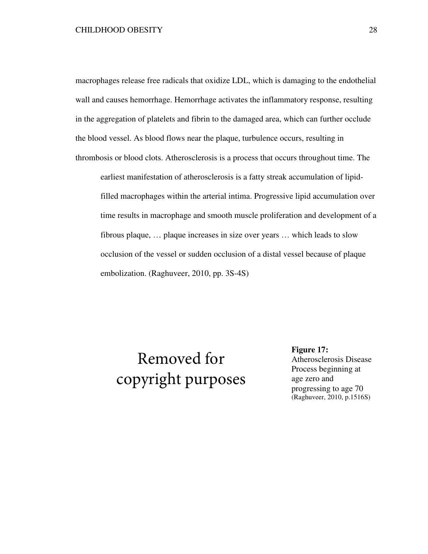#### CHILDHOOD OBESITY

macrophages release free radicals that oxidize LDL, which is damaging to the endothelial CHILDHOOD OBESITY<br>
macrophages release free radicals that oxidize LDL, which is damaging to the endothelial<br>
wall and causes hemorrhage. Hemorrhage activates the inflammatory response, resulting in the aggregation of platelets and fibrin to the damaged area, which can further occlude the blood vessel. As blood flows near the plaque, turbulence occurs, resulting in thrombosis or blood clots. thrombosis or blood clots. Atherosclerosis is a process that occurs throughout time. Atherosclerosis is a process that occurs throughout time. The

earliest manifestation of atherosclerosis is a fatty streak accumulation of lipidearliest manifestation of atherosclerosis is a fatty streak accumulation of lipid-<br>filled macrophages within the arterial intima. Progressive lipid accumulation over time results in macrophage and smooth muscle proliferation and development of a<br>fibrous plaque, ... plaque increases in size over years ... which leads to slow fibrous plaque, ... plaque increases in size over years ... which leads to slow occlusion of the vessel or sudden occlusio occlusion of the vessel or sudden occlusion of a distal vessel because of plaque n of a distal vessel because of plaque embolization. (Raghuveer, 2010 (Raghuveer, 2010, pp. 3S-4S)

### Removed for copyright purposes

**Figure 17 17:** Atherosclerosis Di Atherosclerosis Disease Process beginning at beginning at age zero and progressing to age progressing to age 70 (Raghuveer, 2010 (Raghuveer, 2010, p.1516S)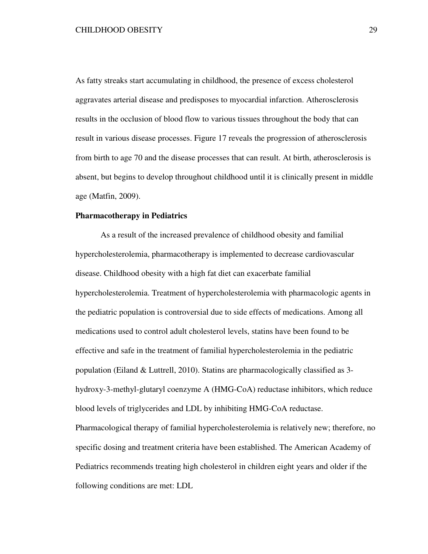As fatty streaks start accumulating in childhood, the presence of excess cholesterol aggravates arterial disease and predisposes to myocardial infarction. Atherosclerosis results in the occlusion of blood flow to various tissues throughout the body that can result in various disease processes. Figure 17 reveals the progression of atherosclerosis from birth to age 70 and the disease processes that can result. At birth, atherosclerosis is absent, but begins to develop throughout childhood until it is clinically present in middle age (Matfin, 2009).

#### **Pharmacotherapy in Pediatrics**

As a result of the increased prevalence of childhood obesity and familial hypercholesterolemia, pharmacotherapy is implemented to decrease cardiovascular disease. Childhood obesity with a high fat diet can exacerbate familial hypercholesterolemia. Treatment of hypercholesterolemia with pharmacologic agents in the pediatric population is controversial due to side effects of medications. Among all medications used to control adult cholesterol levels, statins have been found to be effective and safe in the treatment of familial hypercholesterolemia in the pediatric population (Eiland & Luttrell, 2010). Statins are pharmacologically classified as 3 hydroxy-3-methyl-glutaryl coenzyme A (HMG-CoA) reductase inhibitors, which reduce blood levels of triglycerides and LDL by inhibiting HMG-CoA reductase. Pharmacological therapy of familial hypercholesterolemia is relatively new; therefore, no specific dosing and treatment criteria have been established. The American Academy of Pediatrics recommends treating high cholesterol in children eight years and older if the following conditions are met: LDL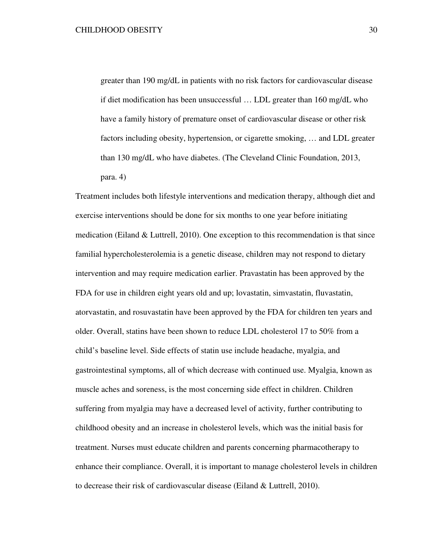greater than 190 mg/dL in patients with no risk factors for cardiovascular disease if diet modification has been unsuccessful … LDL greater than 160 mg/dL who have a family history of premature onset of cardiovascular disease or other risk factors including obesity, hypertension, or cigarette smoking, … and LDL greater than 130 mg/dL who have diabetes. (The Cleveland Clinic Foundation, 2013, para. 4)

Treatment includes both lifestyle interventions and medication therapy, although diet and exercise interventions should be done for six months to one year before initiating medication (Eiland  $& Lut.$  2010). One exception to this recommendation is that since familial hypercholesterolemia is a genetic disease, children may not respond to dietary intervention and may require medication earlier. Pravastatin has been approved by the FDA for use in children eight years old and up; lovastatin, simvastatin, fluvastatin, atorvastatin, and rosuvastatin have been approved by the FDA for children ten years and older. Overall, statins have been shown to reduce LDL cholesterol 17 to 50% from a child's baseline level. Side effects of statin use include headache, myalgia, and gastrointestinal symptoms, all of which decrease with continued use. Myalgia, known as muscle aches and soreness, is the most concerning side effect in children. Children suffering from myalgia may have a decreased level of activity, further contributing to childhood obesity and an increase in cholesterol levels, which was the initial basis for treatment. Nurses must educate children and parents concerning pharmacotherapy to enhance their compliance. Overall, it is important to manage cholesterol levels in children to decrease their risk of cardiovascular disease (Eiland & Luttrell, 2010).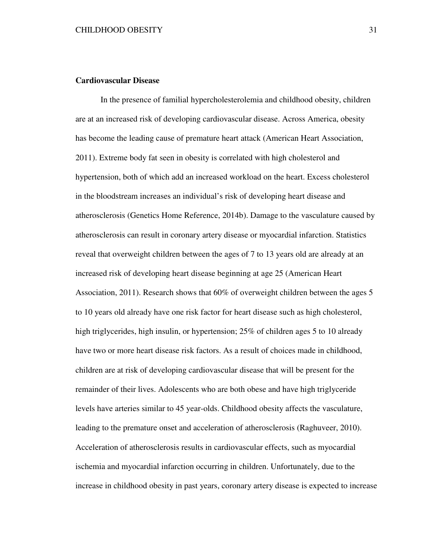#### **Cardiovascular Disease**

In the presence of familial hypercholesterolemia and childhood obesity, children are at an increased risk of developing cardiovascular disease. Across America, obesity has become the leading cause of premature heart attack (American Heart Association, 2011). Extreme body fat seen in obesity is correlated with high cholesterol and hypertension, both of which add an increased workload on the heart. Excess cholesterol in the bloodstream increases an individual's risk of developing heart disease and atherosclerosis (Genetics Home Reference, 2014b). Damage to the vasculature caused by atherosclerosis can result in coronary artery disease or myocardial infarction. Statistics reveal that overweight children between the ages of 7 to 13 years old are already at an increased risk of developing heart disease beginning at age 25 (American Heart Association, 2011). Research shows that 60% of overweight children between the ages 5 to 10 years old already have one risk factor for heart disease such as high cholesterol, high triglycerides, high insulin, or hypertension; 25% of children ages 5 to 10 already have two or more heart disease risk factors. As a result of choices made in childhood, children are at risk of developing cardiovascular disease that will be present for the remainder of their lives. Adolescents who are both obese and have high triglyceride levels have arteries similar to 45 year-olds. Childhood obesity affects the vasculature, leading to the premature onset and acceleration of atherosclerosis (Raghuveer, 2010). Acceleration of atherosclerosis results in cardiovascular effects, such as myocardial ischemia and myocardial infarction occurring in children. Unfortunately, due to the increase in childhood obesity in past years, coronary artery disease is expected to increase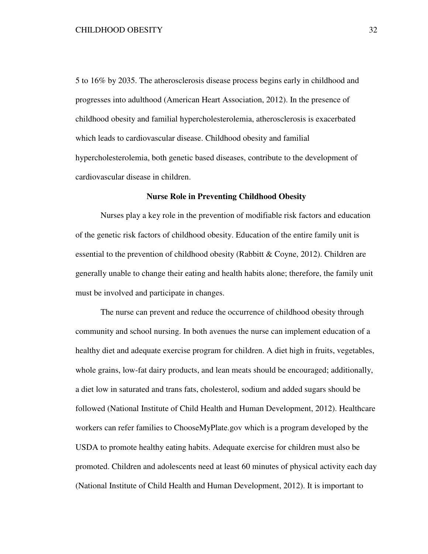5 to 16% by 2035. The atherosclerosis disease process begins early in childhood and progresses into adulthood (American Heart Association, 2012). In the presence of childhood obesity and familial hypercholesterolemia, atherosclerosis is exacerbated which leads to cardiovascular disease. Childhood obesity and familial hypercholesterolemia, both genetic based diseases, contribute to the development of cardiovascular disease in children.

#### **Nurse Role in Preventing Childhood Obesity**

Nurses play a key role in the prevention of modifiable risk factors and education of the genetic risk factors of childhood obesity. Education of the entire family unit is essential to the prevention of childhood obesity (Rabbitt & Coyne, 2012). Children are generally unable to change their eating and health habits alone; therefore, the family unit must be involved and participate in changes.

The nurse can prevent and reduce the occurrence of childhood obesity through community and school nursing. In both avenues the nurse can implement education of a healthy diet and adequate exercise program for children. A diet high in fruits, vegetables, whole grains, low-fat dairy products, and lean meats should be encouraged; additionally, a diet low in saturated and trans fats, cholesterol, sodium and added sugars should be followed (National Institute of Child Health and Human Development, 2012). Healthcare workers can refer families to ChooseMyPlate.gov which is a program developed by the USDA to promote healthy eating habits. Adequate exercise for children must also be promoted. Children and adolescents need at least 60 minutes of physical activity each day (National Institute of Child Health and Human Development, 2012). It is important to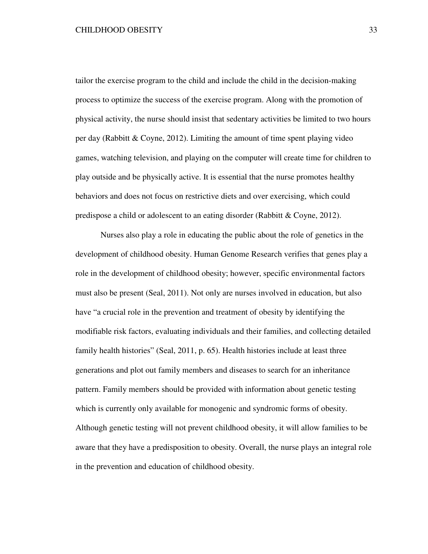#### CHILDHOOD OBESITY 33

tailor the exercise program to the child and include the child in the decision-making process to optimize the success of the exercise program. Along with the promotion of physical activity, the nurse should insist that sedentary activities be limited to two hours per day (Rabbitt & Coyne, 2012). Limiting the amount of time spent playing video games, watching television, and playing on the computer will create time for children to play outside and be physically active. It is essential that the nurse promotes healthy behaviors and does not focus on restrictive diets and over exercising, which could predispose a child or adolescent to an eating disorder (Rabbitt & Coyne, 2012).

Nurses also play a role in educating the public about the role of genetics in the development of childhood obesity. Human Genome Research verifies that genes play a role in the development of childhood obesity; however, specific environmental factors must also be present (Seal, 2011). Not only are nurses involved in education, but also have "a crucial role in the prevention and treatment of obesity by identifying the modifiable risk factors, evaluating individuals and their families, and collecting detailed family health histories" (Seal, 2011, p. 65). Health histories include at least three generations and plot out family members and diseases to search for an inheritance pattern. Family members should be provided with information about genetic testing which is currently only available for monogenic and syndromic forms of obesity. Although genetic testing will not prevent childhood obesity, it will allow families to be aware that they have a predisposition to obesity. Overall, the nurse plays an integral role in the prevention and education of childhood obesity.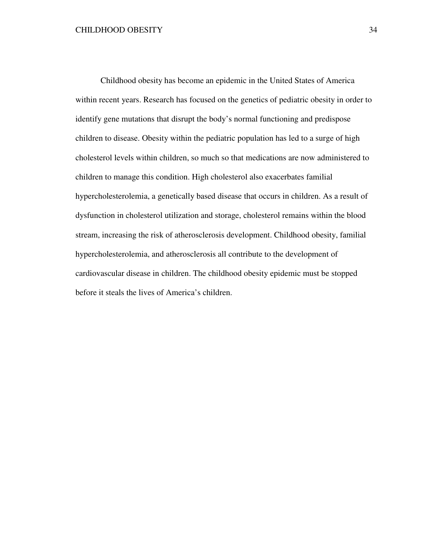Childhood obesity has become an epidemic in the United States of America within recent years. Research has focused on the genetics of pediatric obesity in order to identify gene mutations that disrupt the body's normal functioning and predispose children to disease. Obesity within the pediatric population has led to a surge of high cholesterol levels within children, so much so that medications are now administered to children to manage this condition. High cholesterol also exacerbates familial hypercholesterolemia, a genetically based disease that occurs in children. As a result of dysfunction in cholesterol utilization and storage, cholesterol remains within the blood stream, increasing the risk of atherosclerosis development. Childhood obesity, familial hypercholesterolemia, and atherosclerosis all contribute to the development of cardiovascular disease in children. The childhood obesity epidemic must be stopped before it steals the lives of America's children.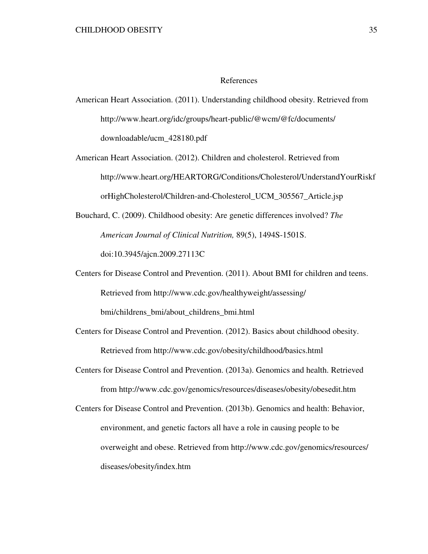#### References

- American Heart Association. (2011). Understanding childhood obesity. Retrieved from http://www.heart.org/idc/groups/heart-public/@wcm/@fc/documents/ downloadable/ucm\_428180.pdf
- American Heart Association. (2012). Children and cholesterol. Retrieved from http://www.heart.org/HEARTORG/Conditions/Cholesterol/UnderstandYourRiskf orHighCholesterol/Children-and-Cholesterol\_UCM\_305567\_Article.jsp
- Bouchard, C. (2009). Childhood obesity: Are genetic differences involved? *The American Journal of Clinical Nutrition,* 89(5), 1494S-1501S. doi:10.3945/ajcn.2009.27113C
- Centers for Disease Control and Prevention. (2011). About BMI for children and teens. Retrieved from http://www.cdc.gov/healthyweight/assessing/ bmi/childrens\_bmi/about\_childrens\_bmi.html
- Centers for Disease Control and Prevention. (2012). Basics about childhood obesity. Retrieved from http://www.cdc.gov/obesity/childhood/basics.html
- Centers for Disease Control and Prevention. (2013a). Genomics and health. Retrieved from http://www.cdc.gov/genomics/resources/diseases/obesity/obesedit.htm
- Centers for Disease Control and Prevention. (2013b). Genomics and health: Behavior, environment, and genetic factors all have a role in causing people to be overweight and obese. Retrieved from http://www.cdc.gov/genomics/resources/ diseases/obesity/index.htm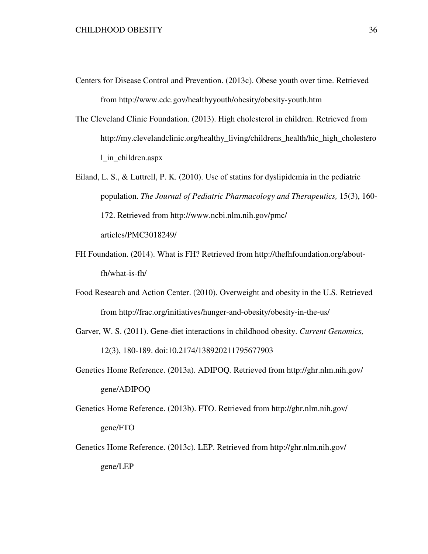- Centers for Disease Control and Prevention. (2013c). Obese youth over time. Retrieved from http://www.cdc.gov/healthyyouth/obesity/obesity-youth.htm
- The Cleveland Clinic Foundation. (2013). High cholesterol in children. Retrieved from http://my.clevelandclinic.org/healthy\_living/childrens\_health/hic\_high\_cholestero l\_in\_children.aspx
- Eiland, L. S., & Luttrell, P. K. (2010). Use of statins for dyslipidemia in the pediatric population. *The Journal of Pediatric Pharmacology and Therapeutics,* 15(3), 160- 172. Retrieved from http://www.ncbi.nlm.nih.gov/pmc/ articles/PMC3018249/
- FH Foundation. (2014). What is FH? Retrieved from http://thefhfoundation.org/aboutfh/what-is-fh/
- Food Research and Action Center. (2010). Overweight and obesity in the U.S. Retrieved from http://frac.org/initiatives/hunger-and-obesity/obesity-in-the-us/
- Garver, W. S. (2011). Gene-diet interactions in childhood obesity. *Current Genomics,*  12(3), 180-189. doi:10.2174/138920211795677903
- Genetics Home Reference. (2013a). ADIPOQ*.* Retrieved from http://ghr.nlm.nih.gov/ gene/ADIPOQ
- Genetics Home Reference. (2013b). FTO. Retrieved from http://ghr.nlm.nih.gov/ gene/FTO
- Genetics Home Reference. (2013c). LEP. Retrieved from http://ghr.nlm.nih.gov/ gene/LEP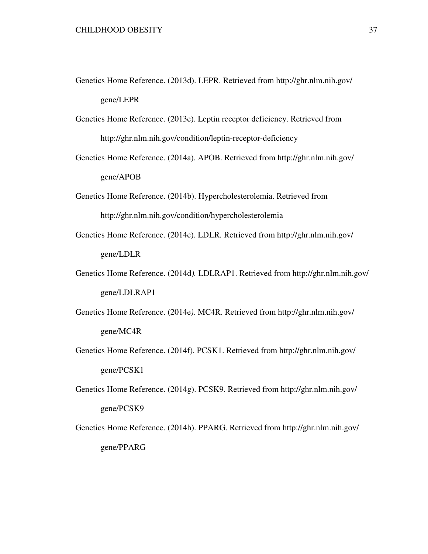- Genetics Home Reference. (2013d). LEPR. Retrieved from http://ghr.nlm.nih.gov/ gene/LEPR
- Genetics Home Reference. (2013e). Leptin receptor deficiency. Retrieved from http://ghr.nlm.nih.gov/condition/leptin-receptor-deficiency
- Genetics Home Reference. (2014a). APOB. Retrieved from http://ghr.nlm.nih.gov/ gene/APOB
- Genetics Home Reference. (2014b). Hypercholesterolemia. Retrieved from http://ghr.nlm.nih.gov/condition/hypercholesterolemia
- Genetics Home Reference. (2014c). LDLR*.* Retrieved from http://ghr.nlm.nih.gov/ gene/LDLR
- Genetics Home Reference. (2014d*).* LDLRAP1. Retrieved from http://ghr.nlm.nih.gov/ gene/LDLRAP1
- Genetics Home Reference. (2014e*).* MC4R. Retrieved from http://ghr.nlm.nih.gov/ gene/MC4R
- Genetics Home Reference. (2014f). PCSK1. Retrieved from http://ghr.nlm.nih.gov/ gene/PCSK1
- Genetics Home Reference. (2014g). PCSK9. Retrieved from http://ghr.nlm.nih.gov/ gene/PCSK9
- Genetics Home Reference. (2014h). PPARG. Retrieved from http://ghr.nlm.nih.gov/ gene/PPARG